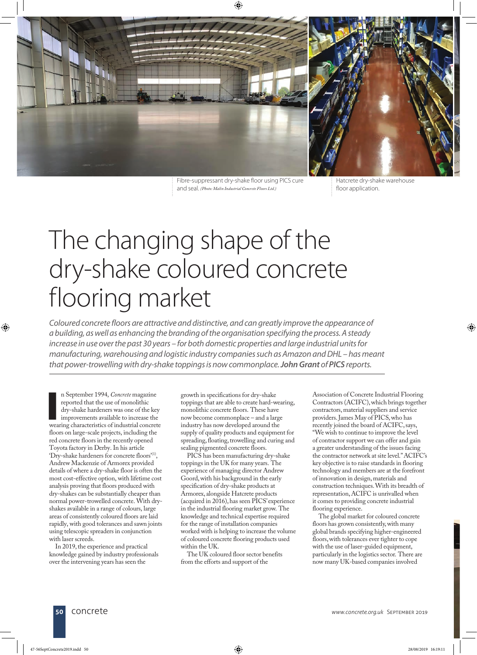



Fibre-suppressant dry-shake floor using PICS cure and seal. *(Photo: Malin Industrial Concrete Floors Ltd.)*

Hatcrete dry-shake warehouse floor application.

## The changing shape of the dry-shake coloured concrete flooring market

*Coloured concrete floors are attractive and distinctive, and can greatly improve the appearance of a building, as well as enhancing the branding of the organisation specifying the process. A steady increase in use over the past 30 years – for both domestic properties and large industrial units for manufacturing, warehousing and logistic industry companies such as Amazon and DHL – has meant that power-trowelling with dry-shake toppings is now commonplace. John Grant of PICS reports.*

n September 1994, *Concrete* magazine<br>reported that the use of monolithic<br>dry-shake hardeners was one of the key<br>improvements available to increase the<br>wearing characteristics of industrial concrete n September 1994, *Concrete* magazine reported that the use of monolithic dry-shake hardeners was one of the key improvements available to increase the floors on large-scale projects, including the red concrete floors in the recently opened Toyota factory in Derby. In his article 'Dry-shake hardeners for concrete floors'<sup>(1)</sup>, Andrew Mackenzie of Armorex provided details of where a dry-shake floor is often the most cost-effective option, with lifetime cost analysis proving that floors produced with dry-shakes can be substantially cheaper than normal power-trowelled concrete. With dryshakes available in a range of colours, large areas of consistently coloured floors are laid rapidly, with good tolerances and sawn joints using telescopic spreaders in conjunction with laser screeds.

In 2019, the experience and practical knowledge gained by industry professionals over the intervening years has seen the

growth in specifications for dry-shake toppings that are able to create hard-wearing, monolithic concrete floors. These have now become commonplace – and a large industry has now developed around the supply of quality products and equipment for spreading, floating, trowelling and curing and sealing pigmented concrete floors.

PICS has been manufacturing dry-shake toppings in the UK for many years. The experience of managing director Andrew Goord, with his background in the early specification of dry-shake products at Armorex, alongside Hatcrete products (acquired in 2016), has seen PICS' experience in the industrial flooring market grow. The knowledge and technical expertise required for the range of installation companies worked with is helping to increase the volume of coloured concrete flooring products used within the UK.

The UK coloured floor sector benefits from the efforts and support of the

Association of Concrete Industrial Flooring Contractors (ACIFC), which brings together contractors, material suppliers and service providers. James May of PICS, who has recently joined the board of ACIFC, says, "We wish to continue to improve the level of contractor support we can offer and gain a greater understanding of the issues facing the contractor network at site level." ACIFC's key objective is to raise standards in flooring technology and members are at the forefront of innovation in design, materials and construction techniques. With its breadth of representation, ACIFC is unrivalled when it comes to providing concrete industrial flooring experience.

The global market for coloured concrete floors has grown consistently, with many global brands specifying higher-engineered floors, with tolerances ever tighter to cope with the use of laser-guided equipment, particularly in the logistics sector. There are now many UK-based companies involved